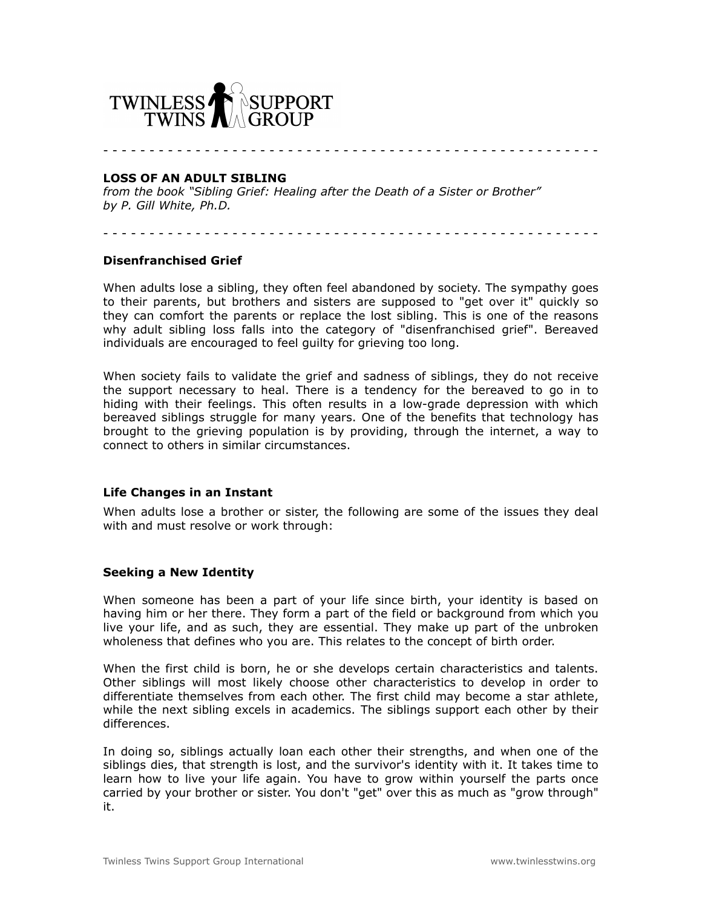

- - - - - - - - - - - - - - - - - - - - - - - - - - - - - - - - - - - - - - - - - - - - - - - - - - - - - -

### **LOSS OF AN ADULT SIBLING**

*from the book "Sibling Grief: Healing after the Death of a Sister or Brother" by P. Gill White, Ph.D.*

- - - - - - - - - - - - - - - - - - - - - - - - - - - - - - - - - - - - - - - - - - - - - - - - - - - - - -

## **Disenfranchised Grief**

When adults lose a sibling, they often feel abandoned by society. The sympathy goes to their parents, but brothers and sisters are supposed to "get over it" quickly so they can comfort the parents or replace the lost sibling. This is one of the reasons why adult sibling loss falls into the category of "disenfranchised grief". Bereaved individuals are encouraged to feel guilty for grieving too long.

When society fails to validate the grief and sadness of siblings, they do not receive the support necessary to heal. There is a tendency for the bereaved to go in to hiding with their feelings. This often results in a low-grade depression with which bereaved siblings struggle for many years. One of the benefits that technology has brought to the grieving population is by providing, through the internet, a way to connect to others in similar circumstances.

# **Life Changes in an Instant**

When adults lose a brother or sister, the following are some of the issues they deal with and must resolve or work through:

#### **Seeking a New Identity**

When someone has been a part of your life since birth, your identity is based on having him or her there. They form a part of the field or background from which you live your life, and as such, they are essential. They make up part of the unbroken wholeness that defines who you are. This relates to the concept of birth order.

When the first child is born, he or she develops certain characteristics and talents. Other siblings will most likely choose other characteristics to develop in order to differentiate themselves from each other. The first child may become a star athlete, while the next sibling excels in academics. The siblings support each other by their differences.

In doing so, siblings actually loan each other their strengths, and when one of the siblings dies, that strength is lost, and the survivor's identity with it. It takes time to learn how to live your life again. You have to grow within yourself the parts once carried by your brother or sister. You don't "get" over this as much as "grow through" it.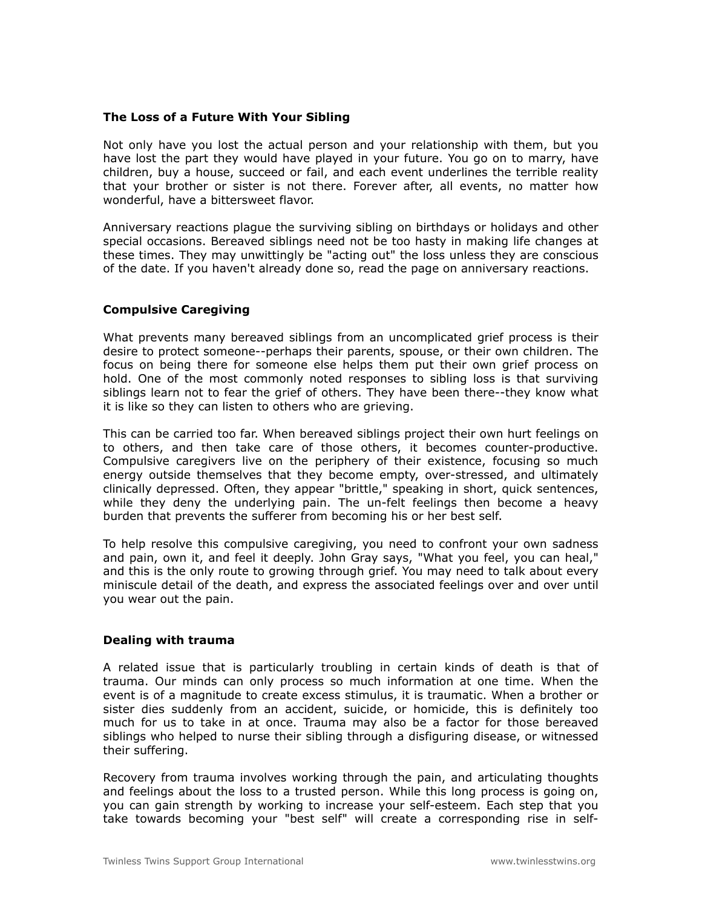## **The Loss of a Future With Your Sibling**

Not only have you lost the actual person and your relationship with them, but you have lost the part they would have played in your future. You go on to marry, have children, buy a house, succeed or fail, and each event underlines the terrible reality that your brother or sister is not there. Forever after, all events, no matter how wonderful, have a bittersweet flavor.

Anniversary reactions plague the surviving sibling on birthdays or holidays and other special occasions. Bereaved siblings need not be too hasty in making life changes at these times. They may unwittingly be "acting out" the loss unless they are conscious of the date. If you haven't already done so, read the page on [anniversary reactions.](http://www.counselingstlouis.net/page5.html)

# **Compulsive Caregiving**

What prevents many bereaved siblings from an uncomplicated grief process is their desire to protect someone--perhaps their parents, spouse, or their own children. The focus on being there for someone else helps them put their own grief process on hold. One of the most commonly noted responses to sibling loss is that surviving siblings learn not to fear the grief of others. They have been there--they know what it is like so they can listen to others who are grieving.

This can be carried too far. When bereaved siblings project their own hurt feelings on to others, and then take care of those others, it becomes counter-productive. Compulsive caregivers live on the periphery of their existence, focusing so much energy outside themselves that they become empty, over-stressed, and ultimately clinically depressed. Often, they appear "brittle," speaking in short, quick sentences, while they deny the underlying pain. The un-felt feelings then become a heavy burden that prevents the sufferer from becoming his or her best self.

To help resolve this compulsive caregiving, you need to confront your own sadness and pain, own it, and feel it deeply. John Gray says, "What you feel, you can heal," and this is the only route to growing through grief. You may need to talk about every miniscule detail of the death, and express the associated feelings over and over until you wear out the pain.

# **Dealing with trauma**

A related issue that is particularly troubling in certain kinds of death is that of trauma. Our minds can only process so much information at one time. When the event is of a magnitude to create excess stimulus, it is traumatic. When a brother or sister dies suddenly from an accident, suicide, or homicide, this is definitely too much for us to take in at once. Trauma may also be a factor for those bereaved siblings who helped to nurse their sibling through a disfiguring disease, or witnessed their suffering.

Recovery from trauma involves working through the pain, and articulating thoughts and feelings about the loss to a trusted person. While this long process is going on, you can gain strength by working to increase your self-esteem. Each step that you take towards becoming your "best self" will create a corresponding rise in self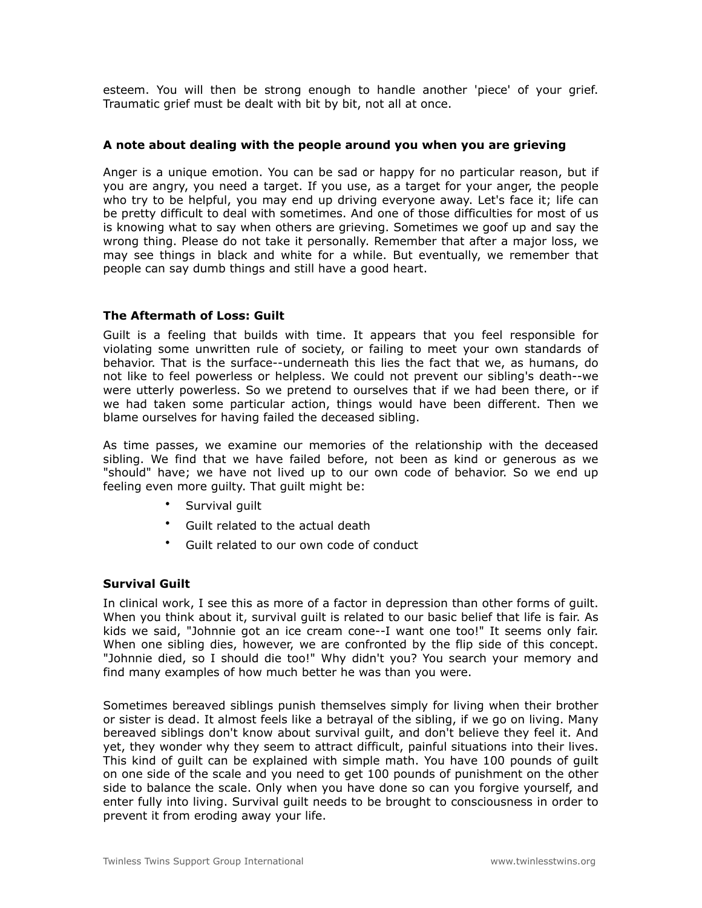esteem. You will then be strong enough to handle another 'piece' of your grief. Traumatic grief must be dealt with bit by bit, not all at once.

## **A note about dealing with the people around you when you are grieving**

Anger is a unique emotion. You can be sad or happy for no particular reason, but if you are angry, you need a target. If you use, as a target for your anger, the people who try to be helpful, you may end up driving everyone away. Let's face it; life can be pretty difficult to deal with sometimes. And one of those difficulties for most of us is knowing what to say when others are grieving. Sometimes we goof up and say the wrong thing. Please do not take it personally. Remember that after a major loss, we may see things in black and white for a while. But eventually, we remember that people can say dumb things and still have a good heart.

## **The Aftermath of Loss: Guilt**

Guilt is a feeling that builds with time. It appears that you feel responsible for violating some unwritten rule of society, or failing to meet your own standards of behavior. That is the surface--underneath this lies the fact that we, as humans, do not like to feel powerless or helpless. We could not prevent our sibling's death--we were utterly powerless. So we pretend to ourselves that if we had been there, or if we had taken some particular action, things would have been different. Then we blame ourselves for having failed the deceased sibling.

As time passes, we examine our memories of the relationship with the deceased sibling. We find that we have failed before, not been as kind or generous as we "should" have; we have not lived up to our own code of behavior. So we end up feeling even more guilty. That guilt might be:

- Survival quilt
- Guilt related to the actual death
- Guilt related to our own code of conduct

# **Survival Guilt**

In clinical work, I see this as more of a factor in depression than other forms of guilt. When you think about it, survival guilt is related to our basic belief that life is fair. As kids we said, "Johnnie got an ice cream cone--I want one too!" It seems only fair. When one sibling dies, however, we are confronted by the flip side of this concept. "Johnnie died, so I should die too!" Why didn't you? You search your memory and find many examples of how much better he was than you were.

Sometimes bereaved siblings punish themselves simply for living when their brother or sister is dead. It almost feels like a betrayal of the sibling, if we go on living. Many bereaved siblings don't know about survival guilt, and don't believe they feel it. And yet, they wonder why they seem to attract difficult, painful situations into their lives. This kind of guilt can be explained with simple math. You have 100 pounds of guilt on one side of the scale and you need to get 100 pounds of punishment on the other side to balance the scale. Only when you have done so can you forgive yourself, and enter fully into living. Survival guilt needs to be brought to consciousness in order to prevent it from eroding away your life.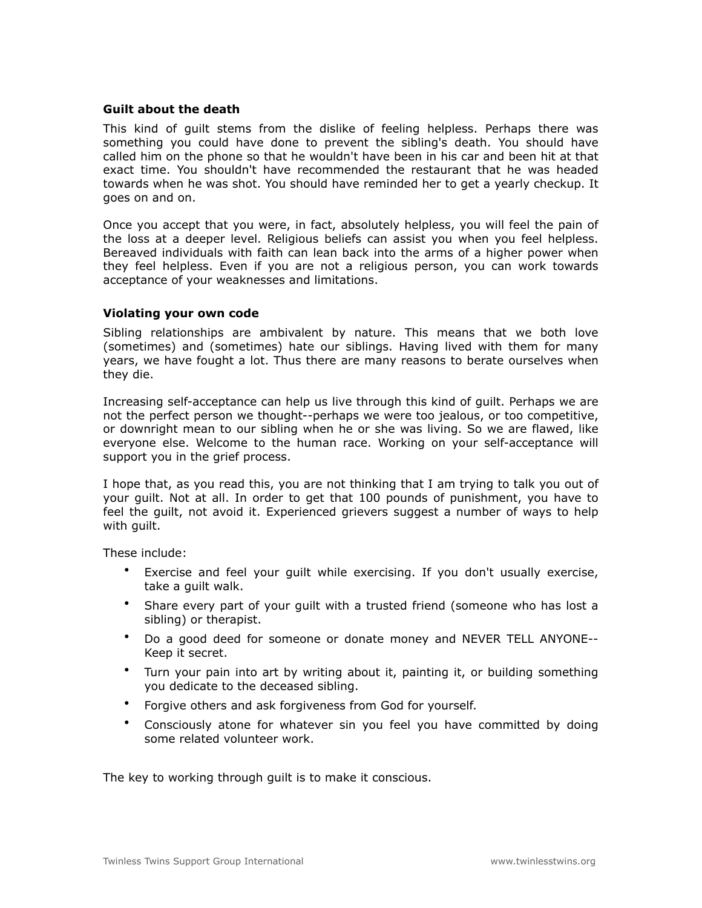## **Guilt about the death**

This kind of guilt stems from the dislike of feeling helpless. Perhaps there was something you could have done to prevent the sibling's death. You should have called him on the phone so that he wouldn't have been in his car and been hit at that exact time. You shouldn't have recommended the restaurant that he was headed towards when he was shot. You should have reminded her to get a yearly checkup. It goes on and on.

Once you accept that you were, in fact, absolutely helpless, you will feel the pain of the loss at a deeper level. Religious beliefs can assist you when you feel helpless. Bereaved individuals with faith can lean back into the arms of a higher power when they feel helpless. Even if you are not a religious person, you can work towards acceptance of your weaknesses and limitations.

#### **Violating your own code**

Sibling relationships are ambivalent by nature. This means that we both love (sometimes) and (sometimes) hate our siblings. Having lived with them for many years, we have fought a lot. Thus there are many reasons to berate ourselves when they die.

Increasing self-acceptance can help us live through this kind of guilt. Perhaps we are not the perfect person we thought--perhaps we were too jealous, or too competitive, or downright mean to our sibling when he or she was living. So we are flawed, like everyone else. Welcome to the human race. Working on your self-acceptance will support you in the grief process.

I hope that, as you read this, you are not thinking that I am trying to talk you out of your guilt. Not at all. In order to get that 100 pounds of punishment, you have to feel the guilt, not avoid it. Experienced grievers suggest a number of ways to help with guilt.

These include:

- Exercise and feel your guilt while exercising. If you don't usually exercise, take a guilt walk.
- Share every part of your guilt with a trusted friend (someone who has lost a sibling) or therapist.
- Do a good deed for someone or donate money and NEVER TELL ANYONE-- Keep it secret.
- Turn your pain into art by writing about it, painting it, or building something you dedicate to the deceased sibling.
- Forgive others and ask forgiveness from God for yourself.
- Consciously atone for whatever sin you feel you have committed by doing some related volunteer work.

The key to working through guilt is to make it conscious.